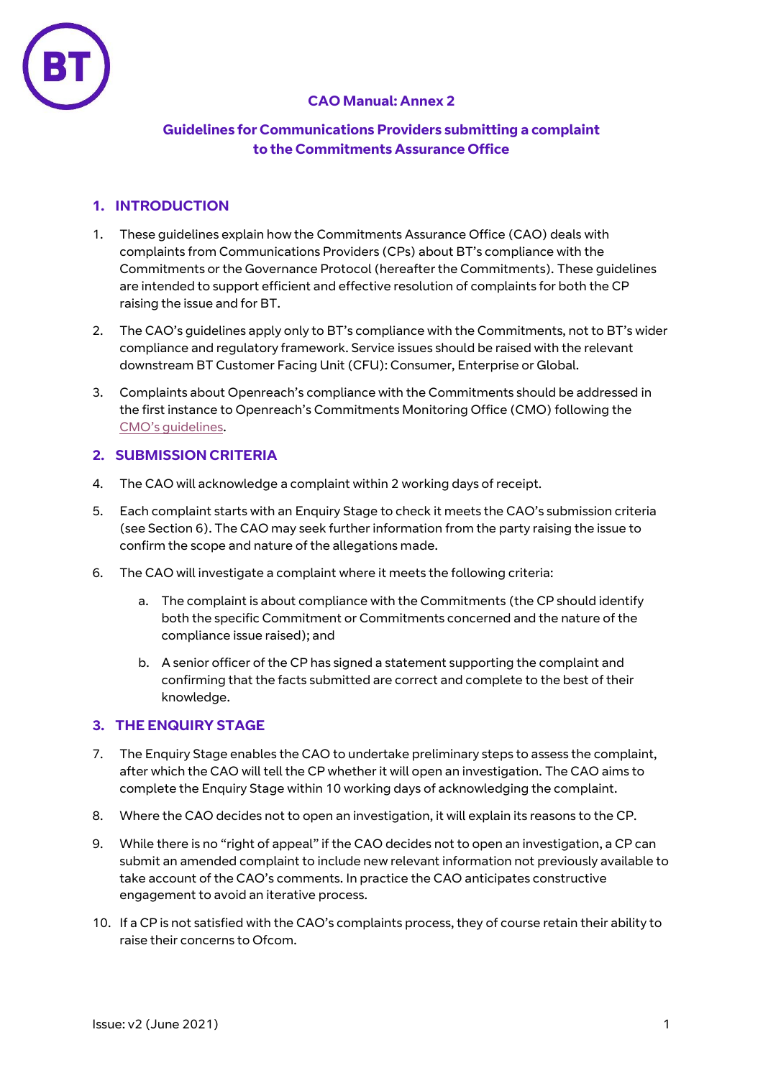

# **CAO Manual: Annex 2**

## **Guidelines for Communications Providers submitting a complaint to the Commitments Assurance Office**

# **1. INTRODUCTION**

- 1. These guidelines explain how the Commitments Assurance Office (CAO) deals with complaints from Communications Providers (CPs) about BT's compliance with the Commitments or the Governance Protocol (hereafter the Commitments). These guidelines are intended to support efficient and effective resolution of complaints for both the CP raising the issue and for BT.
- 2. The CAO's guidelines apply only to BT's compliance with the Commitments, not to BT's wider compliance and regulatory framework. Service issues should be raised with the relevant downstream BT Customer Facing Unit (CFU): Consumer, Enterprise or Global.
- 3. Complaints about Openreach's compliance with the Commitments should be addressed in the first instance to Openreach's Commitments Monitoring Office (CMO) following the CMO['s guidelines](https://www.openreach.co.uk/orpg/home/aboutus/equivalence/commitmentsmonitoringoffice/cmo/downloads/CMOcomplaintsguidelines.pdf).

## **2. SUBMISSION CRITERIA**

- 4. The CAO will acknowledge a complaint within 2 working days of receipt.
- 5. Each complaint starts with an Enquiry Stage to check it meets the CAO's submission criteria (see Section 6). The CAO may seek further information from the party raising the issue to confirm the scope and nature of the allegations made.
- 6. The CAO will investigate a complaint where it meets the following criteria:
	- a. The complaint is about compliance with the Commitments (the CP should identify both the specific Commitment or Commitments concerned and the nature of the compliance issue raised); and
	- b. A senior officer of the CP has signed a statement supporting the complaint and confirming that the facts submitted are correct and complete to the best of their knowledge.

## **3. THE ENQUIRY STAGE**

- 7. The Enquiry Stage enables the CAO to undertake preliminary steps to assess the complaint, after which the CAO will tell the CP whether it will open an investigation. The CAO aims to complete the Enquiry Stage within 10 working days of acknowledging the complaint.
- 8. Where the CAO decides not to open an investigation, it will explain its reasons to the CP.
- 9. While there is no "right of appeal" if the CAO decides not to open an investigation, a CP can submit an amended complaint to include new relevant information not previously available to take account of the CAO's comments. In practice the CAO anticipates constructive engagement to avoid an iterative process.
- 10. If a CP is not satisfied with the CAO's complaints process, they of course retain their ability to raise their concerns to Ofcom.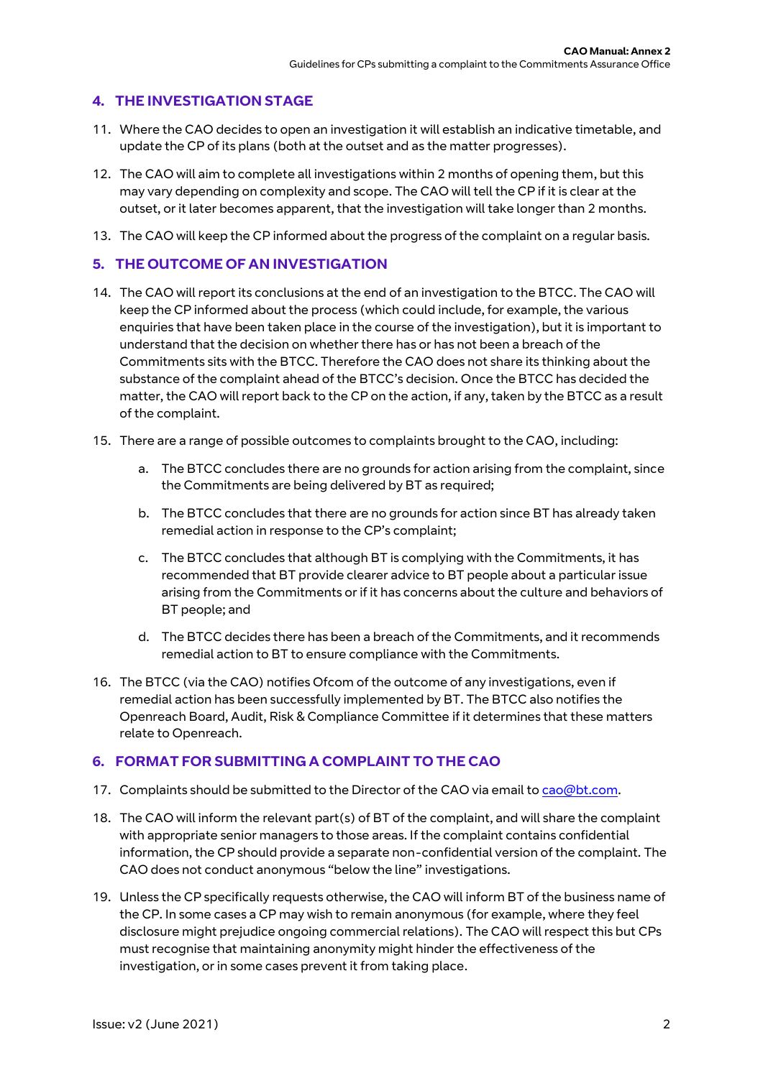## **4. THE INVESTIGATION STAGE**

- 11. Where the CAO decides to open an investigation it will establish an indicative timetable, and update the CP of its plans (both at the outset and as the matter progresses).
- 12. The CAO will aim to complete all investigations within 2 months of opening them, but this may vary depending on complexity and scope. The CAO will tell the CP if it is clear at the outset, or it later becomes apparent, that the investigation will take longer than 2 months.
- 13. The CAO will keep the CP informed about the progress of the complaint on a regular basis.

## **5. THE OUTCOME OF AN INVESTIGATION**

- 14. The CAO will report its conclusions at the end of an investigation to the BTCC. The CAO will keep the CP informed about the process (which could include, for example, the various enquiries that have been taken place in the course of the investigation), but it is important to understand that the decision on whether there has or has not been a breach of the Commitments sits with the BTCC. Therefore the CAO does not share its thinking about the substance of the complaint ahead of the BTCC's decision. Once the BTCC has decided the matter, the CAO will report back to the CP on the action, if any, taken by the BTCC as a result of the complaint.
- 15. There are a range of possible outcomes to complaints brought to the CAO, including:
	- a. The BTCC concludes there are no grounds for action arising from the complaint, since the Commitments are being delivered by BT as required;
	- b. The BTCC concludes that there are no grounds for action since BT has already taken remedial action in response to the CP's complaint;
	- c. The BTCC concludes that although BT is complying with the Commitments, it has recommended that BT provide clearer advice to BT people about a particular issue arising from the Commitments or if it has concerns about the culture and behaviors of BT people; and
	- d. The BTCC decides there has been a breach of the Commitments, and it recommends remedial action to BT to ensure compliance with the Commitments.
- 16. The BTCC (via the CAO) notifies Ofcom of the outcome of any investigations, even if remedial action has been successfully implemented by BT. The BTCC also notifies the Openreach Board, Audit, Risk & Compliance Committee if it determines that these matters relate to Openreach.

#### **6. FORMAT FOR SUBMITTING A COMPLAINT TO THE CAO**

- 17. Complaints should be submitted to the Director of the CAO via email to [cao@bt.com.](mailto:cao@bt.com)
- 18. The CAO will inform the relevant part(s) of BT of the complaint, and will share the complaint with appropriate senior managers to those areas. If the complaint contains confidential information, the CP should provide a separate non-confidential version of the complaint. The CAO does not conduct anonymous "below the line" investigations.
- 19. Unless the CP specifically requests otherwise, the CAO will inform BT of the business name of the CP. In some cases a CP may wish to remain anonymous (for example, where they feel disclosure might prejudice ongoing commercial relations). The CAO will respect this but CPs must recognise that maintaining anonymity might hinder the effectiveness of the investigation, or in some cases prevent it from taking place.